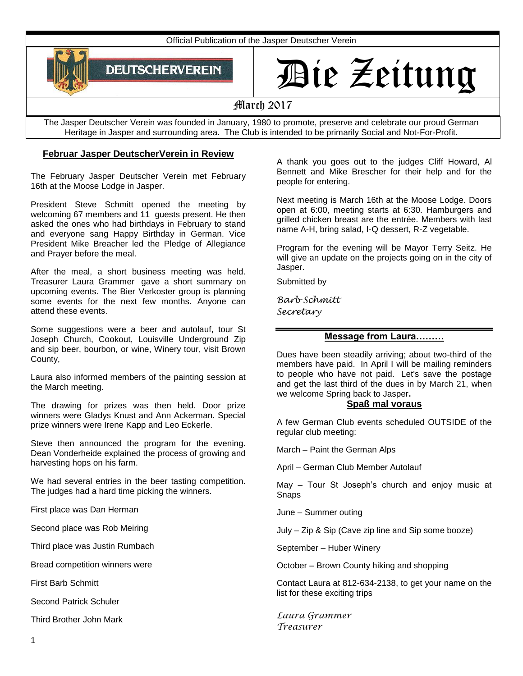Official Publication of the Jasper Deutscher Verein



# Die Zeitung

March 2017

The Jasper Deutscher Verein was founded in January, 1980 to promote, preserve and celebrate our proud German Heritage in Jasper and surrounding area. The Club is intended to be primarily Social and Not-For-Profit.

# **Februar Jasper DeutscherVerein in Review**

The February Jasper Deutscher Verein met February 16th at the Moose Lodge in Jasper.

President Steve Schmitt opened the meeting by welcoming 67 members and 11 guests present. He then asked the ones who had birthdays in February to stand and everyone sang Happy Birthday in German. Vice President Mike Breacher led the Pledge of Allegiance and Prayer before the meal.

After the meal, a short business meeting was held. Treasurer Laura Grammer gave a short summary on upcoming events. The Bier Verkoster group is planning some events for the next few months. Anyone can attend these events.

Some suggestions were a beer and autolauf, tour St Joseph Church, Cookout, Louisville Underground Zip and sip beer, bourbon, or wine, Winery tour, visit Brown County,

Laura also informed members of the painting session at the March meeting.

The drawing for prizes was then held. Door prize winners were Gladys Knust and Ann Ackerman. Special prize winners were Irene Kapp and Leo Eckerle.

Steve then announced the program for the evening. Dean Vonderheide explained the process of growing and harvesting hops on his farm.

We had several entries in the beer tasting competition. The judges had a hard time picking the winners.

First place was Dan Herman

Second place was Rob Meiring

Third place was Justin Rumbach

Bread competition winners were

First Barb Schmitt

Second Patrick Schuler

Third Brother John Mark

A thank you goes out to the judges Cliff Howard, Al Bennett and Mike Brescher for their help and for the people for entering.

Next meeting is March 16th at the Moose Lodge. Doors open at 6:00, meeting starts at 6:30. Hamburgers and grilled chicken breast are the entrée. Members with last name A-H, bring salad, I-Q dessert, R-Z vegetable.

Program for the evening will be Mayor Terry Seitz. He will give an update on the projects going on in the city of Jasper.

Submitted by

*Barb Schmitt Secretary*

## **Message from Laura………**

Dues have been steadily arriving; about two-third of the members have paid. In April I will be mailing reminders to people who have not paid. Let's save the postage and get the last third of the dues in by March 21, when we welcome Spring back to Jasper**.**

## **Spaß mal voraus**

A few German Club events scheduled OUTSIDE of the regular club meeting:

March – Paint the German Alps

April – German Club Member Autolauf

May – Tour St Joseph's church and enjoy music at Snaps

June – Summer outing

July – Zip & Sip (Cave zip line and Sip some booze)

September – Huber Winery

October – Brown County hiking and shopping

Contact Laura at 812-634-2138, to get your name on the list for these exciting trips

*Laura Grammer Treasurer*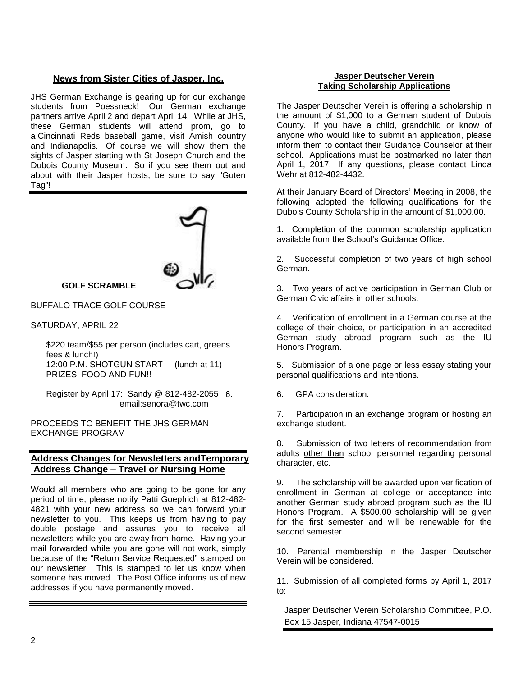# **News from Sister Cities of Jasper, Inc.**

JHS German Exchange is gearing up for our exchange students from Poessneck! Our German exchange partners arrive April 2 and depart April 14. While at JHS, these German students will attend prom, go to a Cincinnati Reds baseball game, visit Amish country and Indianapolis. Of course we will show them the sights of Jasper starting with St Joseph Church and the Dubois County Museum. So if you see them out and about with their Jasper hosts, be sure to say "Guten Tag"!



**GOLF SCRAMBLE**

BUFFALO TRACE GOLF COURSE

SATURDAY, APRIL 22

\$220 team/\$55 per person (includes cart, greens fees & lunch!) 12:00 P.M. SHOTGUN START (lunch at 11) PRIZES, FOOD AND FUN!!

Register by April 17: Sandy @ 812-482-2055 email:senora@twc.com

PROCEEDS TO BENEFIT THE JHS GERMAN EXCHANGE PROGRAM

# **Address Changes for Newsletters andTemporary Address Change – Travel or Nursing Home**

Would all members who are going to be gone for any period of time, please notify Patti Goepfrich at 812-482- 4821 with your new address so we can forward your newsletter to you. This keeps us from having to pay double postage and assures you to receive all newsletters while you are away from home. Having your mail forwarded while you are gone will not work, simply because of the "Return Service Requested" stamped on our newsletter. This is stamped to let us know when someone has moved. The Post Office informs us of new addresses if you have permanently moved.

#### **Jasper Deutscher Verein Taking Scholarship Applications**

The Jasper Deutscher Verein is offering a scholarship in the amount of \$1,000 to a German student of Dubois County. If you have a child, grandchild or know of anyone who would like to submit an application, please inform them to contact their Guidance Counselor at their school. Applications must be postmarked no later than April 1, 2017. If any questions, please contact Linda Wehr at 812-482-4432.

At their January Board of Directors' Meeting in 2008, the following adopted the following qualifications for the Dubois County Scholarship in the amount of \$1,000.00.

1. Completion of the common scholarship application available from the School's Guidance Office.

2. Successful completion of two years of high school German.

3. Two years of active participation in German Club or German Civic affairs in other schools.

4. Verification of enrollment in a German course at the college of their choice, or participation in an accredited German study abroad program such as the IU Honors Program.

5. Submission of a one page or less essay stating your personal qualifications and intentions.

6. 6. GPA consideration.

7. Participation in an exchange program or hosting an exchange student.

8. Submission of two letters of recommendation from adults other than school personnel regarding personal character, etc.

9. The scholarship will be awarded upon verification of enrollment in German at college or acceptance into another German study abroad program such as the IU Honors Program. A \$500.00 scholarship will be given for the first semester and will be renewable for the second semester.

10. Parental membership in the Jasper Deutscher Verein will be considered.

11. Submission of all completed forms by April 1, 2017 to:

Jasper Deutscher Verein Scholarship Committee, P.O. Box 15,Jasper, Indiana 47547-0015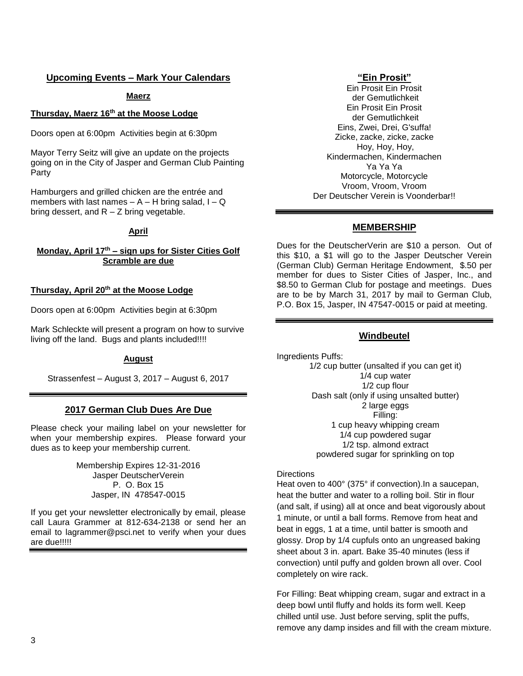# **Upcoming Events – Mark Your Calendars**

#### **Maerz**

#### **Thursday, Maerz 16th at the Moose Lodge**

Doors open at 6:00pm Activities begin at 6:30pm

Mayor Terry Seitz will give an update on the projects going on in the City of Jasper and German Club Painting Party

Hamburgers and grilled chicken are the entrée and members with last names  $- A - H$  bring salad,  $I - Q$ bring dessert, and  $R - Z$  bring vegetable.

#### **April**

## **Monday, April 17th – sign ups for Sister Cities Golf Scramble are due**

#### **Thursday, April 20th at the Moose Lodge**

Doors open at 6:00pm Activities begin at 6:30pm

Mark Schleckte will present a program on how to survive living off the land. Bugs and plants included!!!!

#### **August**

Strassenfest – August 3, 2017 – August 6, 2017

#### **2017 German Club Dues Are Due**

Please check your mailing label on your newsletter for when your membership expires. Please forward your dues as to keep your membership current.

> Membership Expires 12-31-2016 Jasper DeutscherVerein P. O. Box 15 Jasper, IN 478547-0015

If you get your newsletter electronically by email, please call Laura Grammer at 812-634-2138 or send her an email to lagrammer@psci.net to verify when your dues are due!!!!!

#### **"Ein Prosit"**

Ein Prosit Ein Prosit der Gemutlichkeit Ein Prosit Ein Prosit der Gemutlichkeit Eins, Zwei, Drei, G'suffa! Zicke, zacke, zicke, zacke Hoy, Hoy, Hoy, Kindermachen, Kindermachen Ya Ya Ya Motorcycle, Motorcycle Vroom, Vroom, Vroom Der Deutscher Verein is Voonderbar!!

## **MEMBERSHIP**

Dues for the DeutscherVerin are \$10 a person. Out of this \$10, a \$1 will go to the Jasper Deutscher Verein (German Club) German Heritage Endowment, \$.50 per member for dues to Sister Cities of Jasper, Inc., and \$8.50 to German Club for postage and meetings. Dues are to be by March 31, 2017 by mail to German Club, P.O. Box 15, Jasper, IN 47547-0015 or paid at meeting.

#### **Windbeutel**

Ingredients Puffs:

1/2 cup butter (unsalted if you can get it) 1/4 cup water 1/2 cup flour Dash salt (only if using unsalted butter) 2 large eggs Filling: 1 cup heavy whipping cream 1/4 cup powdered sugar 1/2 tsp. almond extract powdered sugar for sprinkling on top

#### **Directions**

Heat oven to 400° (375° if convection).In a saucepan, heat the butter and water to a rolling boil. Stir in flour (and salt, if using) all at once and beat vigorously about 1 minute, or until a ball forms. Remove from heat and beat in eggs, 1 at a time, until batter is smooth and glossy. Drop by 1/4 cupfuls onto an ungreased baking sheet about 3 in. apart. Bake 35-40 minutes (less if convection) until puffy and golden brown all over. Cool completely on wire rack.

For Filling: Beat whipping cream, sugar and extract in a deep bowl until fluffy and holds its form well. Keep chilled until use. Just before serving, split the puffs, remove any damp insides and fill with the cream mixture.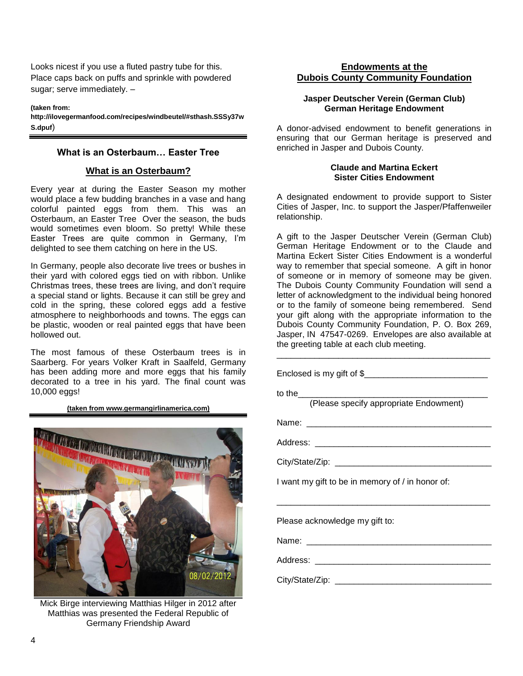Looks nicest if you use a fluted pastry tube for this. Place caps back on puffs and sprinkle with powdered sugar; serve immediately. –

**(taken from: http://ilovegermanfood.com/recipes/windbeutel/#sthash.SSSy37w S.dpuf**)

# **What is an Osterbaum… Easter Tree**

# **What is an Osterbaum?**

Every year at during the Easter Season my mother would place a few budding branches in a vase and hang colorful painted eggs from them. This was an Osterbaum, an Easter Tree Over the season, the buds would sometimes even bloom. So pretty! While these Easter Trees are quite common in Germany, I'm delighted to see them catching on here in the US.

In Germany, people also decorate live trees or bushes in their yard with colored eggs tied on with ribbon. Unlike Christmas trees, these trees are living, and don't require a special stand or lights. Because it can still be grey and cold in the spring, these colored eggs add a festive atmosphere to neighborhoods and towns. The eggs can be plastic, wooden or real painted eggs that have been hollowed out.

The most famous of these Osterbaum trees is in Saarberg. For years Volker Kraft in Saalfeld, Germany has been adding more and more eggs that his family decorated to a tree in his yard. The final count was 10,000 eggs!

**(taken from www.germangirlinamerica.com)**



Mick Birge interviewing Matthias Hilger in 2012 after Matthias was presented the Federal Republic of Germany Friendship Award

# **Endowments at the Dubois County Community Foundation**

# **Jasper Deutscher Verein (German Club) German Heritage Endowment**

A donor-advised endowment to benefit generations in ensuring that our German heritage is preserved and enriched in Jasper and Dubois County.

#### **Claude and Martina Eckert Sister Cities Endowment**

A designated endowment to provide support to Sister Cities of Jasper, Inc. to support the Jasper/Pfaffenweiler relationship.

A gift to the Jasper Deutscher Verein (German Club) German Heritage Endowment or to the Claude and Martina Eckert Sister Cities Endowment is a wonderful way to remember that special someone. A gift in honor of someone or in memory of someone may be given. The Dubois County Community Foundation will send a letter of acknowledgment to the individual being honored or to the family of someone being remembered. Send your gift along with the appropriate information to the Dubois County Community Foundation, P. O. Box 269, Jasper, IN 47547-0269. Envelopes are also available at the greeting table at each club meeting.

\_\_\_\_\_\_\_\_\_\_\_\_\_\_\_\_\_\_\_\_\_\_\_\_\_\_\_\_\_\_\_\_\_\_\_\_\_\_\_\_\_\_\_\_\_

Enclosed is my gift of \$ to the (Please specify appropriate Endowment) Name: Address: \_\_\_\_\_\_\_\_\_\_\_\_\_\_\_\_\_\_\_\_\_\_\_\_\_\_\_\_\_\_\_\_\_\_\_\_\_ City/State/Zip: **William State and State and State and State and State and State and State and State and State and State and State and State and State and State and State and State and State and State and State and State a** I want my gift to be in memory of / in honor of: \_\_\_\_\_\_\_\_\_\_\_\_\_\_\_\_\_\_\_\_\_\_\_\_\_\_\_\_\_\_\_\_\_\_\_\_\_\_\_\_\_\_\_\_\_ Please acknowledge my gift to: Name: Address: \_\_\_\_\_\_\_\_\_\_\_\_\_\_\_\_\_\_\_\_\_\_\_\_\_\_\_\_\_\_\_\_\_\_\_\_\_ City/State/Zip: \_\_\_\_\_\_\_\_\_\_\_\_\_\_\_\_\_\_\_\_\_\_\_\_\_\_\_\_\_\_\_\_\_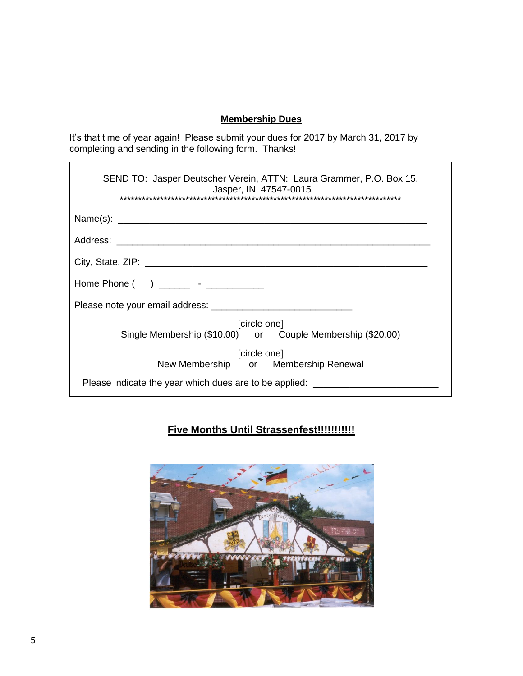# **Membership Dues**

It's that time of year again! Please submit your dues for 2017 by March 31, 2017 by completing and sending in the following form. Thanks!

| SEND TO: Jasper Deutscher Verein, ATTN: Laura Grammer, P.O. Box 15,<br>Jasper, IN 47547-0015 |
|----------------------------------------------------------------------------------------------|
|                                                                                              |
|                                                                                              |
|                                                                                              |
| Home Phone ( ) _______ - _________                                                           |
|                                                                                              |
| [circle one]<br>Single Membership (\$10.00) or Couple Membership (\$20.00)                   |
| [circle one]<br>New Membership or Membership Renewal                                         |
| Please indicate the year which dues are to be applied: ________                              |

# **Five Months Until Strassenfest!!!!!!!!!!!**



 $\mathbf{r}$